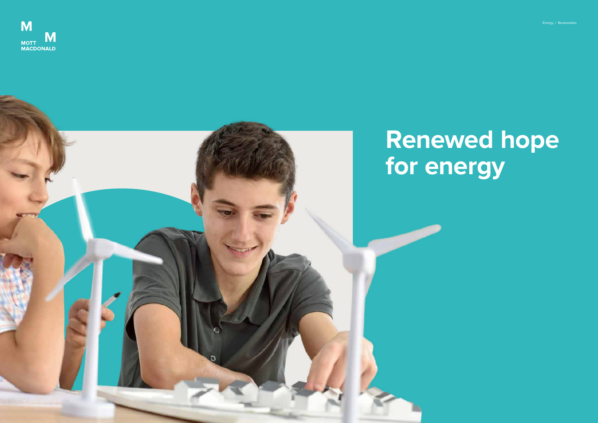# **Renewed hope**



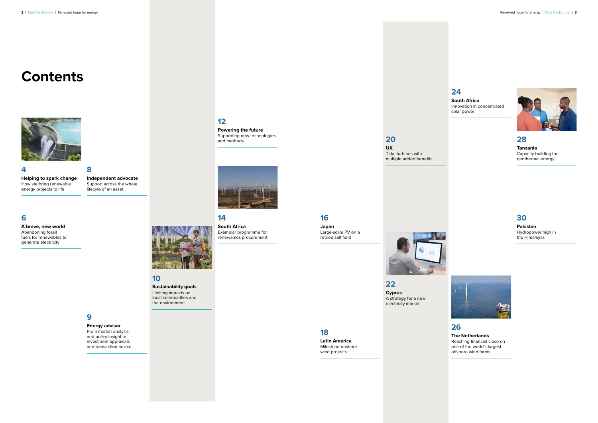#### **Contents**



**Independent advocate** Support across the whole

**4 Helping to spark change** How we bring renewable energy projects to life



**A brave, new world**

Abandoning fossil fuels for renewables to generate electricity

**8** lifecyle of an asset



**12**

**Powering the future** Supporting new technologies

and methods

**14 South Africa**

Exemplar programme for renewables procurement

**10**

**Sustainability goals** Limiting impacts on local communities and the environment

**9**

**Energy advisor** From market analysis and policy insight to investment appraisals and transaction advice

#### **30**

**Pakistan** Hydropower high in the Himalayas



**22**

**Cyprus** A strategy for a new electricity market

**20 UK**

Tidal turbines with multiple added benefits



#### **28 Tanzania** Capacity building for geothermal energy

**18**

**Latin America** Milestone onshore wind projects

#### **26 The Netherlands** Reaching financial close on one of the world's largest offshore wind farms

**16**

**Japan** Large-scale PV on a retired salt field

#### **24**

**South Africa** Innovation in concentrated solar power

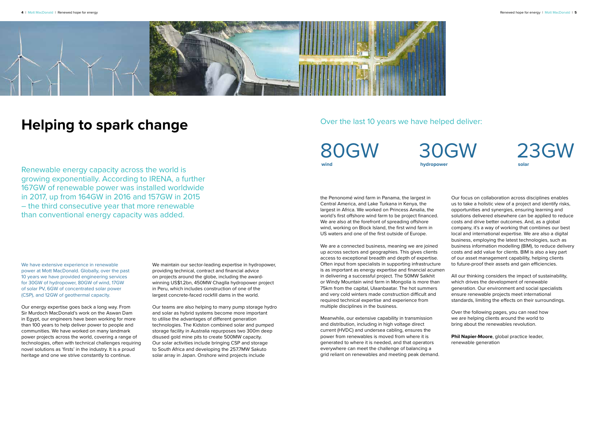



# **Helping to spark change**

Renewable energy capacity across the world is growing exponentially. According to IRENA, a further 167GW of renewable power was installed worldwide in 2017, up from 164GW in 2016 and 157GW in 2015 – the third consecutive year that more renewable than conventional energy capacity was added.

> We maintain our sector-leading expertise in hydropower, providing technical, contract and financial advice on projects around the globe, including the awardwinning US\$1.2bn, 450MW Chaglla hydropower project in Peru, which includes construction of one of the largest concrete-faced rockfill dams in the world.

> Our teams are also helping to marry pump storage hydro and solar as hybrid systems become more important to utilise the advantages of different generation technologies. The Kidston combined solar and pumped storage facility in Australia repurposes two 300m deep disused gold mine pits to create 500MW capacity. Our solar activities include bringing CSP and storage to South Africa and developing the 257.7MW Sakuto solar array in Japan. Onshore wind projects include

We have extensive experience in renewable power at Mott MacDonald. Globally, over the past 10 years we have provided engineering services for 30GW of hydropower, 80GW of wind, 17GW of solar PV, 6GW of concentrated solar power (CSP), and 12GW of geothermal capacity.

Our energy expertise goes back a long way. From Sir Murdoch MacDonald's work on the Aswan Dam in Egypt, our engineers have been working for more than 100 years to help deliver power to people and communities. We have worked on many landmark power projects across the world, covering a range of technologies, often with technical challenges requiring novel solutions as 'firsts' in the industry. It is a proud heritage and one we strive constantly to continue.

30GW **hydropower**



80GW **wind**

the Penonomé wind farm in Panama, the largest in Central America, and Lake Turkana in Kenya, the largest in Africa. We worked on Princess Amalia, the world's first offshore wind farm to be project financed. We are also at the forefront of spreading offshore wind, working on Block Island, the first wind farm in US waters and one of the first outside of Europe.

Meanwhile, our extensive capability in transmission and distribution, including in high voltage direct current (HVDC) and undersea cabling, ensures the power from renewables is moved from where it is generated to where it is needed, and that operators everywhere can meet the challenge of balancing a grid reliant on renewables and meeting peak demand.

We are a connected business, meaning we are joined up across sectors and geographies. This gives clients access to exceptional breadth and depth of expertise. Often input from specialists in supporting infrastructure is as important as energy expertise and financial acumen in delivering a successful project. The 50MW Salkhit or Windy Mountain wind farm in Mongolia is more than 75km from the capital, Ulaanbaatar. The hot summers and very cold winters made construction difficult and required technical expertise and experience from multiple disciplines in the business. costs and add value for clients. BIM is also a key part of our asset management capability, helping clients to future-proof their assets and gain efficiencies. All our thinking considers the impact of sustainability, which drives the development of renewable generation. Our environment and social specialists ensure renewable projects meet international standards, limiting the effects on their surroundings.

Our focus on collaboration across disciplines enables us to take a holistic view of a project and identify risks, opportunities and synergies, ensuring learning and solutions delivered elsewhere can be applied to reduce costs and drive better outcomes. And, as a global company, it's a way of working that combines our best local and international expertise. We are also a digital business, employing the latest technologies, such as business information modelling (BIM), to reduce delivery

Over the following pages, you can read how we are helping clients around the world to bring about the renewables revolution.

**Phil Napier-Moore**, global practice leader, renewable generation

#### Over the last 10 years we have helped deliver: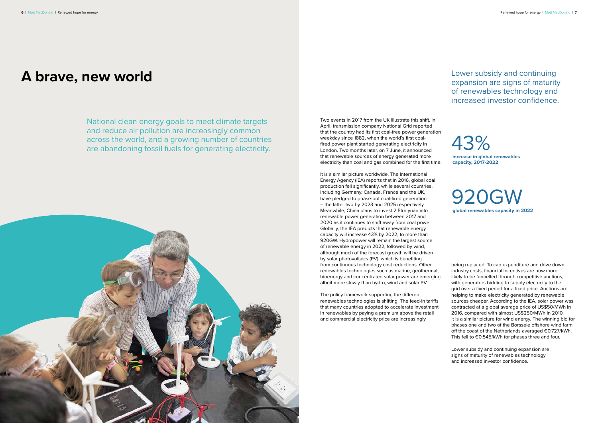#### **A brave, new world**

National clean energy goals to meet climate targets and reduce air pollution are increasingly common across the world, and a growing number of countries are abandoning fossil fuels for generating electricity.



Two events in 2017 from the UK illustrate this shift. In April, transmission company National Grid reported that the country had its first coal-free power generation weekday since 1882, when the world's first coalfired power plant started generating electricity in London. Two months later, on 7 June, it announced that renewable sources of energy generated more electricity than coal and gas combined for the first time.

It is a similar picture worldwide. The International Energy Agency (IEA) reports that in 2016, global coal production fell significantly, while several countries, including Germany, Canada, France and the UK, have pledged to phase-out coal-fired generation – the latter two by 2023 and 2025 respectively. Meanwhile, China plans to invest 2.5trn yuan into renewable power generation between 2017 and 2020 as it continues to shift away from coal power. Globally, the IEA predicts that renewable energy capacity will increase 43% by 2022, to more than 920GW. Hydropower will remain the largest source of renewable energy in 2022, followed by wind, although much of the forecast growth will be driven by solar photovoltaics (PV), which is benefiting from continuous technology cost reductions. Other renewables technologies such as marine, geothermal, bioenergy and concentrated solar power are emerging, albeit more slowly than hydro, wind and solar PV.

The policy framework supporting the different renewables technologies is shifting. The feed-in tariffs that many countries adopted to accelerate investment in renewables by paying a premium above the retail and commercial electricity price are increasingly





**increase in global renewables capacity, 2017-2022**

being replaced. To cap expenditure and drive down industry costs, financial incentives are now more likely to be funnelled through competitive auctions, with generators bidding to supply electricity to the grid over a fixed period for a fixed price. Auctions are helping to make electricity generated by renewable sources cheaper. According to the IEA, solar power was contracted at a global average price of US\$50/MWh in 2016, compared with almost US\$250/MWh in 2010. It is a similar picture for wind energy. The winning bid for phases one and two of the Borssele offshore wind farm off the coast of the Netherlands averaged €0.727/kWh. This fell to €0.545/kWh for phases three and four.

Lower subsidy and continuing expansion are signs of maturity of renewables technology and increased investor confidence.

Lower subsidy and continuing expansion are signs of maturity of renewables technology and increased investor confidence.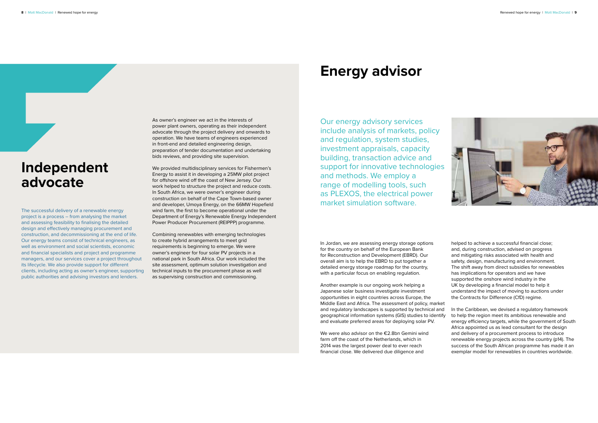

# **Independent advocate**

The successful delivery of a renewable energy project is a process – from analysing the market and assessing feasibility to finalising the detailed design and effectively managing procurement and construction, and decommissioning at the end of life. Our energy teams consist of technical engineers, as well as environment and social scientists, economic and financial specialists and project and programme managers, and our services cover a project throughout its lifecycle. We also provide support for different clients, including acting as owner's engineer, supporting public authorities and advising investors and lenders.

As owner's engineer we act in the interests of power plant owners, operating as their independent advocate through the project delivery and onwards to operation. We have teams of engineers experienced in front-end and detailed engineering design, preparation of tender documentation and undertaking bids reviews, and providing site supervision.

We provided multidisciplinary services for Fishermen's Energy to assist it in developing a 25MW pilot project for offshore wind off the coast of New Jersey. Our work helped to structure the project and reduce costs. In South Africa, we were owner's engineer during construction on behalf of the Cape Town-based owner and developer, Umoya Energy, on the 66MW Hopefield wind farm, the first to become operational under the Department of Energy's Renewable Energy Independent Power Producer Procurement (REIPPP) programme.

> We were also advisor on the €2.8bn Gemini wind farm off the coast of the Netherlands, which in 2014 was the largest power deal to ever reach financial close. We delivered due diligence and

Combining renewables with emerging technologies to create hybrid arrangements to meet grid requirements is beginning to emerge. We were owner's engineer for four solar PV projects in a national park in South Africa. Our work included the site assessment, optimum solution investigation and technical inputs to the procurement phase as well as supervising construction and commissioning.

### **Energy advisor**

Our energy advisory services include analysis of markets, policy and regulation, system studies, investment appraisals, capacity building, transaction advice and support for innovative technologies and methods. We employ a range of modelling tools, such as PLEXOS, the electrical power market simulation software.

In Jordan, we are assessing energy storage options for the country on behalf of the European Bank for Reconstruction and Development (EBRD). Our overall aim is to help the EBRD to put together a detailed energy storage roadmap for the country, with a particular focus on enabling regulation.

Another example is our ongoing work helping a Japanese solar business investigate investment opportunities in eight countries across Europe, the Middle East and Africa. The assessment of policy, market and regulatory landscapes is supported by technical and geographical information systems (GIS) studies to identify and evaluate preferred areas for deploying solar PV.

helped to achieve a successful financial close; and, during construction, advised on progress and mitigating risks associated with health and safety, design, manufacturing and environment. The shift away from direct subsidies for renewables has implications for operators and we have supported the onshore wind industry in the UK by developing a financial model to help it understand the impact of moving to auctions under the Contracts for Difference (CfD) regime.

In the Caribbean, we devised a regulatory framework to help the region meet its ambitious renewable and energy efficiency targets, while the government of South Africa appointed us as lead consultant for the design and delivery of a procurement process to introduce renewable energy projects across the country (p14). The success of the South African programme has made it an exemplar model for renewables in countries worldwide.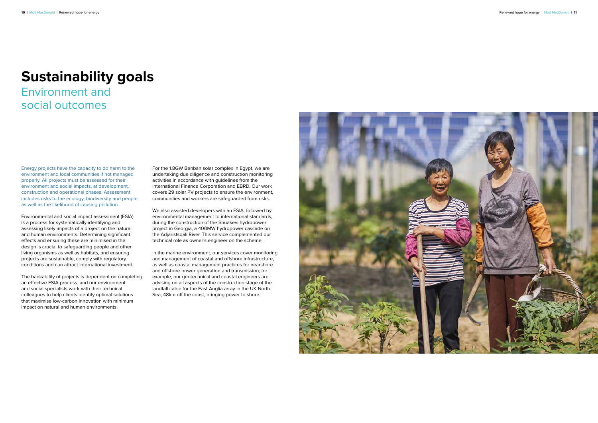#### **Sustainability goals**

Environment and social outcomes

Energy projects have the capacity to do harm to the environment and local communities if not managed properly. All projects must be assessed for their environment and social impacts, at development, construction and operational phases. Assessment includes risks to the ecology, biodiversity and people as well as the likelihood of causing pollution.

Environmental and social impact assessment (ESIA) is a process for systematically identifying and assessing likely impacts of a project on the natural and human environments. Determining significant effects and ensuring these are minimised in the design is crucial to safeguarding people and other living organisms as well as habitats, and ensuring projects are sustainable, comply with regulatory conditions and can attract international investment.

The bankability of projects is dependent on completing an effective ESIA process, and our environment and social specialists work with their technical colleagues to help clients identify optimal solutions that maximise low-carbon innovation with minimum impact on natural and human environments.

For the 1.8GW Benban solar complex in Egypt, we are undertaking due diligence and construction monitoring activities in accordance with guidelines from the International Finance Corporation and EBRD. Our work covers 29 solar PV projects to ensure the environment, communities and workers are safeguarded from risks.

We also assisted developers with an ESIA, followed by environmental management to international standards, during the construction of the Shuakevi hydropower project in Georgia, a 400MW hydropower cascade on the Adjaristsqali River. This service complemented our technical role as owner's engineer on the scheme.

In the marine environment, our services cover monitoring and management of coastal and offshore infrastructure, as well as coastal management practices for nearshore and offshore power generation and transmission; for example, our geotechnical and coastal engineers are advising on all aspects of the construction stage of the landfall cable for the East Anglia array in the UK North Sea, 48km off the coast, bringing power to shore.

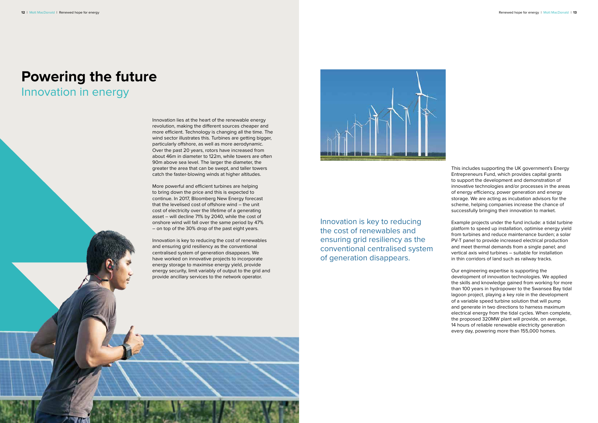# **Powering the future**

#### Innovation in energy

Innovation lies at the heart of the renewable energy revolution, making the different sources cheaper and more efficient. Technology is changing all the time. The wind sector illustrates this. Turbines are getting bigger, particularly offshore, as well as more aerodynamic. Over the past 20 years, rotors have increased from about 46m in diameter to 122m, while towers are often 90m above sea level. The larger the diameter, the greater the area that can be swept, and taller towers catch the faster-blowing winds at higher altitudes.

More powerful and efficient turbines are helping to bring down the price and this is expected to continue. In 2017, Bloomberg New Energy forecast that the levelised cost of offshore wind – the unit cost of electricity over the lifetime of a generating asset – will decline 71% by 2040, while the cost of onshore wind will fall over the same period by 47% – on top of the 30% drop of the past eight years.

Innovation is key to reducing the cost of renewables and ensuring grid resiliency as the conventional centralised system of generation disappears. We have worked on innovative projects to incorporate energy storage to maximise energy yield, provide energy security, limit variably of output to the grid and provide ancillary services to the network operator.



This includes supporting the UK government's Energy Entrepreneurs Fund, which provides capital grants to support the development and demonstration of innovative technologies and/or processes in the areas of energy efficiency, power generation and energy storage. We are acting as incubation advisors for the scheme, helping companies increase the chance of successfully bringing their innovation to market.

Example projects under the fund include: a tidal turbine platform to speed up installation, optimise energy yield from turbines and reduce maintenance burden; a solar PV-T panel to provide increased electrical production and meet thermal demands from a single panel; and vertical axis wind turbines – suitable for installation in thin corridors of land such as railway tracks.

Our engineering expertise is supporting the development of innovation technologies. We applied the skills and knowledge gained from working for more than 100 years in hydropower to the Swansea Bay tidal lagoon project, playing a key role in the development of a variable speed turbine solution that will pump and generate in two directions to harness maximum electrical energy from the tidal cycles. When complete, the proposed 320MW plant will provide, on average, 14 hours of reliable renewable electricity generation every day, powering more than 155,000 homes.

Innovation is key to reducing the cost of renewables and ensuring grid resiliency as the conventional centralised system of generation disappears.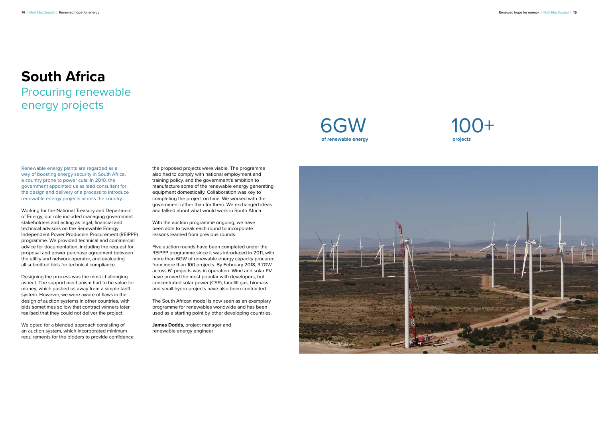#### **South Africa** Procuring renewable energy projects

Renewable energy plants are regarded as a way of boosting energy security in South Africa, a country prone to power cuts. In 2010, the government appointed us as lead consultant for the design and delivery of a process to introduce renewable energy projects across the country.

Working for the National Treasury and Department of Energy, our role included managing government stakeholders and acting as legal, financial and technical advisors on the Renewable Energy Independent Power Producers Procurement (REIPPP) programme. We provided technical and commercial advice for documentation, including the request for proposal and power purchase agreement between the utility and network operator, and evaluating all submitted bids for technical compliance.

Designing the process was the most challenging aspect. The support mechanism had to be value for money, which pushed us away from a simple tariff system. However, we were aware of flaws in the design of auction systems in other countries, with bids sometimes so low that contract winners later realised that they could not deliver the project.

We opted for a blended approach consisting of an auction system, which incorporated minimum requirements for the bidders to provide confidence the proposed projects were viable. The programme also had to comply with national employment and training policy, and the government's ambition to manufacture some of the renewable energy generating equipment domestically. Collaboration was key to completing the project on time. We worked with the government rather than for them. We exchanged ideas and talked about what would work in South Africa.

With the auction programme ongoing, we have been able to tweak each round to incorporate lessons learned from previous rounds.

Five auction rounds have been completed under the REIPPP programme since it was introduced in 2011, with more than 6GW of renewable energy capacity procured from more than 100 projects. By February 2018, 3.7GW across 61 projects was in operation. Wind and solar PV have proved the most popular with developers, but concentrated solar power (CSP), landfill gas, biomass and small hydro projects have also been contracted.

The South African model is now seen as an exemplary programme for renewables worldwide and has been used as a starting point by other developing countries.

**James Dodds**, project manager and renewable energy engineer

#### 6GW **of renewable energy**



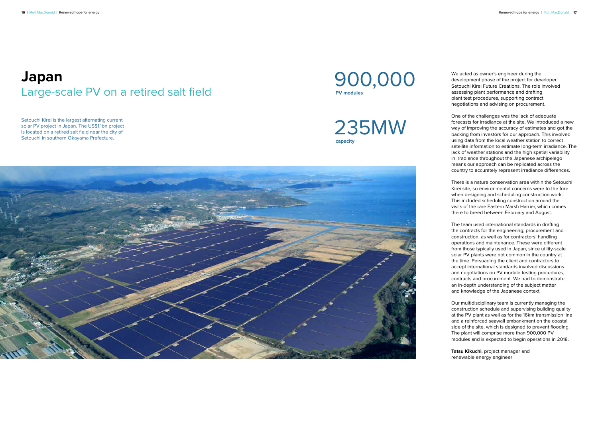#### **Japan** Large-scale PV on a retired salt field

Setouchi Kirei is the largest alternating current solar PV project in Japan. The US\$1.1bn project is located on a retired salt field near the city of Setouchi in southern Okayama Prefecture.



235MW **capacity**



We acted as owner's engineer during the development phase of the project for developer Setouchi Kirei Future Creations. The role involved assessing plant performance and drafting plant test procedures, supporting contract negotiations and advising on procurement.

One of the challenges was the lack of adequate forecasts for irradiance at the site. We introduced a new way of improving the accuracy of estimates and got the backing from investors for our approach. This involved using data from the local weather station to correct satellite information to estimate long-term irradiance. The lack of weather stations and the high spatial variability in irradiance throughout the Japanese archipelago means our approach can be replicated across the country to accurately represent irradiance differences.

There is a nature conservation area within the Setouchi Kirei site, so environmental concerns were to the fore when designing and scheduling construction work. This included scheduling construction around the visits of the rare Eastern Marsh Harrier, which comes there to breed between February and August.

The team used international standards in drafting the contracts for the engineering, procurement and construction, as well as for contractors' handling operations and maintenance. These were different from those typically used in Japan, since utility-scale solar PV plants were not common in the country at the time. Persuading the client and contractors to accept international standards involved discussions and negotiations on PV module testing procedures, contracts and procurement. We had to demonstrate an in-depth understanding of the subject matter and knowledge of the Japanese context.

Our multidisciplinary team is currently managing the construction schedule and supervising building quality at the PV plant as well as for the 16km transmission line and a reinforced seawall embankment on the coastal side of the site, which is designed to prevent flooding. The plant will comprise more than 900,000 PV modules and is expected to begin operations in 2018.

**Tatsu Kikuchi**, project manager and renewable energy engineer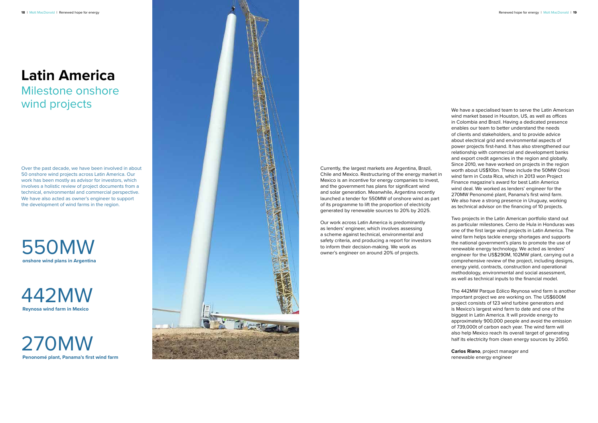

#### **Latin America** Milestone onshore

# wind projects

Over the past decade, we have been involved in about 50 onshore wind projects across Latin America. Our work has been mostly as advisor for investors, which involves a holistic review of project documents from a technical, environmental and commercial perspective. We have also acted as owner's engineer to support the development of wind farms in the region.

442MW **Reynosa wind farm in Mexico**

270MW **Penonomé plant, Panama's first wind farm**

550MW **onshore wind plans in Argentina** 

Currently, the largest markets are Argentina, Brazil, Chile and Mexico. Restructuring of the energy market in Mexico is an incentive for energy companies to invest, and the government has plans for significant wind and solar generation. Meanwhile, Argentina recently launched a tender for 550MW of onshore wind as part of its programme to lift the proportion of electricity generated by renewable sources to 20% by 2025.

Our work across Latin America is predominantly as lenders' engineer, which involves assessing a scheme against technical, environmental and safety criteria, and producing a report for investors to inform their decision-making. We work as owner's engineer on around 20% of projects.

We have a specialised team to serve the Latin American wind market based in Houston, US, as well as offices in Colombia and Brazil. Having a dedicated presence enables our team to better understand the needs of clients and stakeholders, and to provide advice about electrical grid and environmental aspects of power projects first-hand. It has also strengthened our relationship with commercial and development banks and export credit agencies in the region and globally. Since 2010, we have worked on projects in the region worth about US\$10bn. These include the 50MW Orosi wind farm in Costa Rica, which in 2013 won Project Finance magazine's award for best Latin America wind deal. We worked as lenders' engineer for the 270MW Penonomé plant, Panama's first wind farm. We also have a strong presence in Uruguay, working as technical advisor on the financing of 10 projects.

Two projects in the Latin American portfolio stand out as particular milestones. Cerro de Hula in Honduras was one of the first large wind projects in Latin America. The wind farm helps tackle energy shortages and supports the national government's plans to promote the use of renewable energy technology. We acted as lenders' engineer for the US\$290M, 102MW plant, carrying out a comprehensive review of the project, including designs, energy yield, contracts, construction and operational methodology, environmental and social assessment, as well as technical inputs to the financial model.

The 442MW Parque Eólico Reynosa wind farm is another important project we are working on. The US\$600M project consists of 123 wind turbine generators and is Mexico's largest wind farm to date and one of the biggest in Latin America. It will provide energy to approximately 900,000 people and avoid the emission of 739,000t of carbon each year. The wind farm will also help Mexico reach its overall target of generating half its electricity from clean energy sources by 2050.

**Carlos Riano**, project manager and renewable energy engineer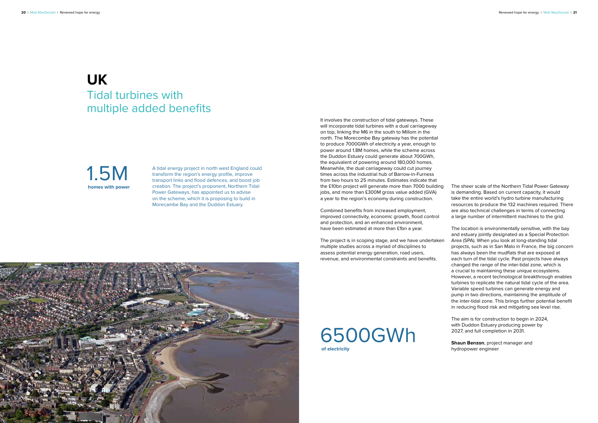#### **UK** Tidal turbines with multiple added benefits

A tidal energy project in north west England could transform the region's energy profile, improve transport links and flood defences, and boost job creation. The project's proponent, Northern Tidal Power Gateways, has appointed us to advise on the scheme, which it is proposing to build in Morecambe Bay and the Duddon Estuary.

1.5M **homes with power** It involves the construction of tidal gateways. These will incorporate tidal turbines with a dual carriageway on top, linking the M6 in the south to Millom in the north. The Morecombe Bay gateway has the potential to produce 7000GWh of electricity a year, enough to power around 1.8M homes, while the scheme across the Duddon Estuary could generate about 700GWh, the equivalent of powering around 180,000 homes. Meanwhile, the dual carriageway could cut journey times across the industrial hub of Barrow-in-Furness from two hours to 25 minutes. Estimates indicate that the £10bn project will generate more than 7000 building jobs, and more than £300M gross value added (GVA) a year to the region's economy during construction.

Combined benefits from increased employment, improved connectivity, economic growth, flood control and protection, and an enhanced environment, have been estimated at more than £1bn a year.

The project is in scoping stage, and we have undertaken multiple studies across a myriad of disciplines to assess potential energy generation, road users, revenue, and environmental constraints and benefits.



#### 6500GWh **of electricity**

The sheer scale of the Northern Tidal Power Gateway is demanding. Based on current capacity, it would take the entire world's hydro turbine manufacturing resources to produce the 132 machines required. There are also technical challenges in terms of connecting a large number of intermittent machines to the grid.

The location is environmentally sensitive, with the bay and estuary jointly designated as a Special Protection Area (SPA). When you look at long-standing tidal projects, such as in San Malo in France, the big concern has always been the mudflats that are exposed at each turn of the tidal cycle. Past projects have always changed the range of the inter-tidal zone, which is a crucial to maintaining these unique ecosystems. However, a recent technological breakthrough enables turbines to replicate the natural tidal cycle of the area. Variable speed turbines can generate energy and pump in two directions, maintaining the amplitude of the inter-tidal zone. This brings further potential benefit in reducing flood risk and mitigating sea level rise.

The aim is for construction to begin in 2024, with Duddon Estuary producing power by 2027, and full completion in 2031.

**Shaun Benzon**, project manager and hydropower engineer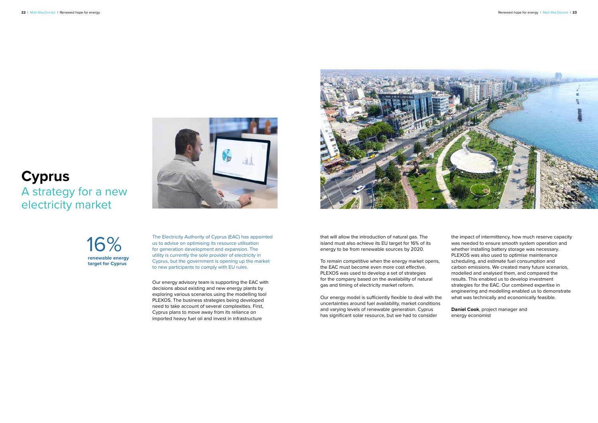#### **Cyprus** A strategy for a new electricity market

The Electricity Authority of Cyprus (EAC) has appointed us to advise on optimising its resource utilisation for generation development and expansion. The utility is currently the sole provider of electricity in Cyprus, but the government is opening up the market to new participants to comply with EU rules.

Our energy advisory team is supporting the EAC with decisions about existing and new energy plants by exploring various scenarios using the modelling tool PLEXOS. The business strategies being developed need to take account of several complexities. First, Cyprus plans to move away from its reliance on imported heavy fuel oil and invest in infrastructure

![](_page_11_Picture_6.jpeg)

16% **renewable energy target for Cyprus**

![](_page_11_Picture_3.jpeg)

that will allow the introduction of natural gas. The island must also achieve its EU target for 16% of its energy to be from renewable sources by 2020.

To remain competitive when the energy market opens, the EAC must become even more cost effective. PLEXOS was used to develop a set of strategies for the company based on the availability of natural gas and timing of electricity market reform.

Our energy model is sufficiently flexible to deal with the uncertainties around fuel availability, market conditions and varying levels of renewable generation. Cyprus has significant solar resource, but we had to consider

the impact of intermittency, how much reserve capacity was needed to ensure smooth system operation and whether installing battery storage was necessary. PLEXOS was also used to optimise maintenance scheduling, and estimate fuel consumption and carbon emissions. We created many future scenarios, modelled and analysed them, and compared the results. This enabled us to develop investment strategies for the EAC. Our combined expertise in engineering and modelling enabled us to demonstrate what was technically and economically feasible.

**Daniel Cook**, project manager and energy economist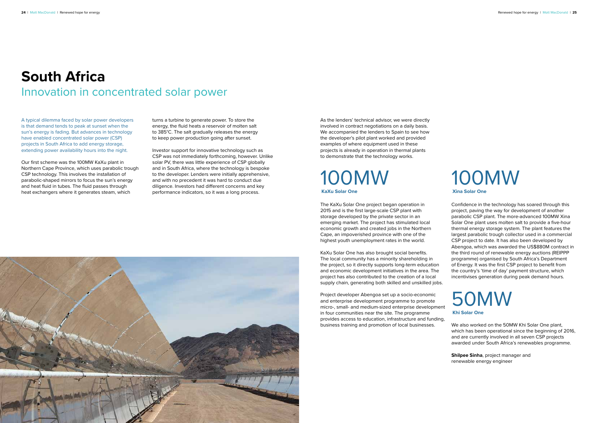#### **South Africa** Innovation in concentrated solar power

A typical dilemma faced by solar power developers is that demand tends to peak at sunset when the sun's energy is fading. But advances in technology have enabled concentrated solar power (CSP) projects in South Africa to add energy storage, extending power availability hours into the night.

Our first scheme was the 100MW KaXu plant in Northern Cape Province, which uses parabolic trough CSP technology. This involves the installation of parabolic-shaped mirrors to focus the sun's energy and heat fluid in tubes. The fluid passes through heat exchangers where it generates steam, which

turns a turbine to generate power. To store the energy, the fluid heats a reservoir of molten salt to 385°C. The salt gradually releases the energy to keep power production going after sunset.

Investor support for innovative technology such as CSP was not immediately forthcoming, however. Unlike solar PV, there was little experience of CSP globally and in South Africa, where the technology is bespoke to the developer. Lenders were initially apprehensive, and with no precedent it was hard to conduct due diligence. Investors had different concerns and key performance indicators, so it was a long process.

> Confidence in the technology has soared through this project, paving the way for development of another parabolic CSP plant. The more-advanced 100MW Xina Solar One plant uses molten salt to provide a five-hour thermal energy storage system. The plant features the largest parabolic trough collector used in a commercial CSP project to date. It has also been developed by Abengoa, which was awarded the US\$880M contract in the third round of renewable energy auctions (REIPPP programme) organised by South Africa's Department of Energy. It was the first CSP project to benefit from the country's 'time of day' payment structure, which incentivises generation during peak demand hours.

We also worked on the 50MW Khi Solar One plant, which has been operational since the beginning of 2016, and are currently involved in all seven CSP projects awarded under South Africa's renewables programme.

**Shilpee Sinha**, project manager and renewable energy engineer

#### 100MW **Xina Solar One**

#### 100MW **KaXu Solar One**

![](_page_12_Picture_15.jpeg)

**Khi Solar One**

As the lenders' technical advisor, we were directly involved in contract negotiations on a daily basis. We accompanied the lenders to Spain to see how the developer's pilot plant worked and provided examples of where equipment used in these projects is already in operation in thermal plants to demonstrate that the technology works.

The KaXu Solar One project began operation in 2015 and is the first large-scale CSP plant with storage developed by the private sector in an emerging market. The project has stimulated local economic growth and created jobs in the Northern Cape, an impoverished province with one of the highest youth unemployment rates in the world.

KaXu Solar One has also brought social benefits. The local community has a minority shareholding in the project, so it directly supports long-term education and economic development initiatives in the area. The project has also contributed to the creation of a local supply chain, generating both skilled and unskilled jobs.

Project developer Abengoa set up a socio-economic and enterprise development programme to promote micro-, small- and medium-sized enterprise development in four communities near the site. The programme provides access to education, infrastructure and funding, business training and promotion of local businesses.

![](_page_12_Picture_11.jpeg)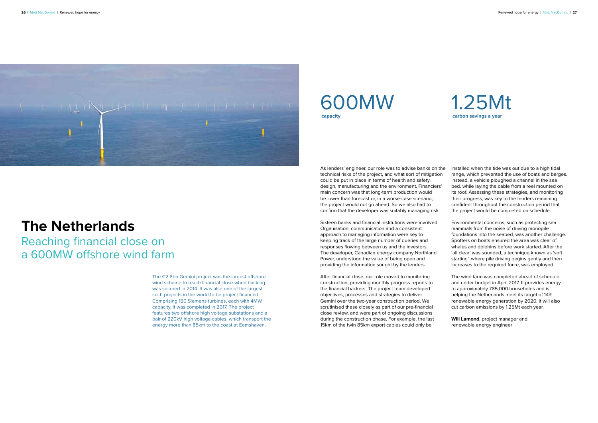![](_page_13_Picture_1.jpeg)

#### **The Netherlands**

Reaching financial close on a 600MW offshore wind farm

> The €2.8bn Gemini project was the largest offshore wind scheme to reach financial close when backing was secured in 2014. It was also one of the largest such projects in the world to be project financed. Comprising 150 Siemens turbines, each with 4MW capacity, it was completed in 2017. The project features two offshore high voltage substations and a pair of 220kV high voltage cables, which transport the energy more than 85km to the coast at Eemshaven.

Sixteen banks and financial institutions were involved. Organisation, communication and a consistent approach to managing information were key to keeping track of the large number of queries and responses flowing between us and the investors. The developer, Canadian energy company Northland Power, understood the value of being open and providing the information sought by the lenders.

As lenders' engineer, our role was to advise banks on the technical risks of the project, and what sort of mitigation could be put in place in terms of health and safety, design, manufacturing and the environment. Financiers' main concern was that long-term production would be lower than forecast or, in a worse-case scenario, the project would not go ahead. So we also had to confirm that the developer was suitably managing risk. installed when the tide was out due to a high tidal range, which prevented the use of boats and barges. Instead, a vehicle ploughed a channel in the sea bed, while laying the cable from a reel mounted on its roof. Assessing these strategies, and monitoring their progress, was key to the lenders remaining confident throughout the construction period that the project would be completed on schedule.

After financial close, our role moved to monitoring construction, providing monthly progress reports to the financial backers. The project team developed objectives, processes and strategies to deliver Gemini over the two-year construction period. We scrutinised these closely as part of our pre-financial close review, and were part of ongoing discussions during the construction phase. For example, the last 15km of the twin 85km export cables could only be

#### 600MW **capacity**

![](_page_13_Picture_10.jpeg)

Environmental concerns, such as protecting sea mammals from the noise of driving monopile foundations into the seabed, was another challenge. Spotters on boats ensured the area was clear of whales and dolphins before work started. After the 'all clear' was sounded, a technique known as 'soft starting', where pile driving begins gently and then increases to the required force, was employed.

The wind farm was completed ahead of schedule and under budget in April 2017. It provides energy to approximately 785,000 households and is helping the Netherlands meet its target of 14% renewable energy generation by 2020. It will also cut carbon emissions by 1.25Mt each year.

**Will Lamond**, project manager and renewable energy engineer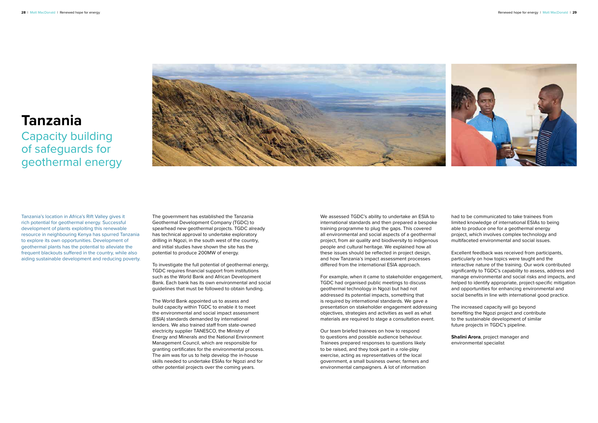![](_page_14_Picture_1.jpeg)

#### **Tanzania**

#### Capacity building of safeguards for geothermal energy

Tanzania's location in Africa's Rift Valley gives it rich potential for geothermal energy. Successful development of plants exploiting this renewable resource in neighbouring Kenya has spurred Tanzania to explore its own opportunities. Development of geothermal plants has the potential to alleviate the frequent blackouts suffered in the country, while also aiding sustainable development and reducing poverty.

The government has established the Tanzania Geothermal Development Company (TGDC) to spearhead new geothermal projects. TGDC already has technical approval to undertake exploratory drilling in Ngozi, in the south west of the country, and initial studies have shown the site has the potential to produce 200MW of energy.

To investigate the full potential of geothermal energy, TGDC requires financial support from institutions such as the World Bank and African Development Bank. Each bank has its own environmental and social guidelines that must be followed to obtain funding.

The World Bank appointed us to assess and build capacity within TGDC to enable it to meet the environmental and social impact assessment (ESIA) standards demanded by international lenders. We also trained staff from state-owned electricity supplier TANESCO, the Ministry of Energy and Minerals and the National Environment Management Council, which are responsible for granting certificates for the environmental process. The aim was for us to help develop the in-house skills needed to undertake ESIAs for Ngozi and for other potential projects over the coming years.

We assessed TGDC's ability to undertake an ESIA to international standards and then prepared a bespoke training programme to plug the gaps. This covered all environmental and social aspects of a geothermal project, from air quality and biodiversity to indigenous people and cultural heritage. We explained how all these issues should be reflected in project design, and how Tanzania's impact assessment processes differed from the international ESIA approach.

For example, when it came to stakeholder engagement, TGDC had organised public meetings to discuss geothermal technology in Ngozi but had not addressed its potential impacts, something that is required by international standards. We gave a presentation on stakeholder engagement addressing objectives, strategies and activities as well as what materials are required to stage a consultation event.

Our team briefed trainees on how to respond to questions and possible audience behaviour. Trainees prepared responses to questions likely to be raised, and they took part in a role-play exercise, acting as representatives of the local government, a small business owner, farmers and environmental campaigners. A lot of information

had to be communicated to take trainees from limited knowledge of international ESIAs to being able to produce one for a geothermal energy project, which involves complex technology and multifaceted environmental and social issues.

Excellent feedback was received from participants, particularly on how topics were taught and the interactive nature of the training. Our work contributed significantly to TGDC's capability to assess, address and manage environmental and social risks and impacts, and helped to identify appropriate, project-specific mitigation and opportunities for enhancing environmental and social benefits in line with international good practice.

The increased capacity will go beyond benefiting the Ngozi project and contribute to the sustainable development of similar future projects in TGDC's pipeline.

**Shalini Arora**, project manager and environmental specialist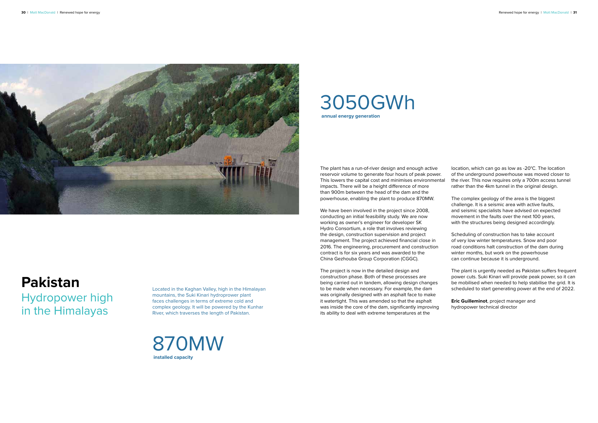![](_page_15_Picture_1.jpeg)

#### **Pakistan**

Hydropower high in the Himalayas

Located in the Kaghan Valley, high in the Himalayan mountains, the Suki Kinari hydroprower plant faces challenges in terms of extreme cold and complex geology. It will be powered by the Kunhar River, which traverses the length of Pakistan.

![](_page_15_Picture_5.jpeg)

We have been involved in the project since 2008, conducting an initial feasibility study. We are now working as owner's engineer for developer SK Hydro Consortium, a role that involves reviewing the design, construction supervision and project management. The project achieved financial close in 2016. The engineering, procurement and construction contract is for six years and was awarded to the China Gezhouba Group Corporation (CGGC).

The plant has a run-of-river design and enough active reservoir volume to generate four hours of peak power. This lowers the capital cost and minimises environmental impacts. There will be a height difference of more than 900m between the head of the dam and the powerhouse, enabling the plant to produce 870MW. location, which can go as low as -20°C. The location of the underground powerhouse was moved closer to the river. This now requires only a 700m access tunnel rather than the 4km tunnel in the original design. The complex geology of the area is the biggest

The project is now in the detailed design and construction phase. Both of these processes are being carried out in tandem, allowing design changes to be made when necessary. For example, the dam was originally designed with an asphalt face to make it watertight. This was amended so that the asphalt was inside the core of the dam, significantly improving its ability to deal with extreme temperatures at the

#### 3050GWh **annual energy generation**

challenge. It is a seismic area with active faults, and seismic specialists have advised on expected movement in the faults over the next 100 years, with the structures being designed accordingly.

Scheduling of construction has to take account of very low winter temperatures. Snow and poor road conditions halt construction of the dam during winter months, but work on the powerhouse can continue because it is underground.

The plant is urgently needed as Pakistan suffers frequent power cuts. Suki Kinari will provide peak power, so it can be mobilised when needed to help stabilise the grid. It is scheduled to start generating power at the end of 2022.

**Eric Guilleminot**, project manager and hydropower technical director